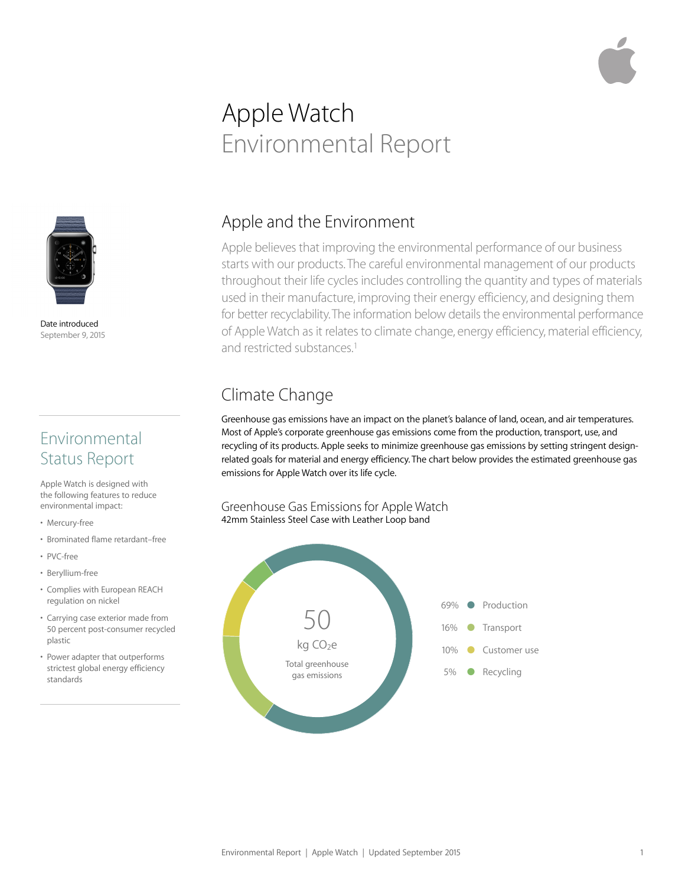# Apple Watch Environmental Report



Date introduced September 9, 2015

#### Environmental Status Report

Apple Watch is designed with the following features to reduce environmental impact:

- Mercury-free
- Brominated flame retardant–free
- PVC-free
- Beryllium-free
- Complies with European REACH regulation on nickel
- Carrying case exterior made from 50 percent post-consumer recycled plastic
- Power adapter that outperforms strictest global energy efficiency standards

#### Apple and the Environment

Apple believes that improving the environmental performance of our business starts with our products. The careful environmental management of our products throughout their life cycles includes controlling the quantity and types of materials used in their manufacture, improving their energy efficiency, and designing them for better recyclability. The information below details the environmental performance of Apple Watch as it relates to climate change, energy efficiency, material efficiency, and restricted substances.<sup>1</sup>

# Climate Change

Greenhouse gas emissions have an impact on the planet's balance of land, ocean, and air temperatures. Most of Apple's corporate greenhouse gas emissions come from the production, transport, use, and recycling of its products. Apple seeks to minimize greenhouse gas emissions by setting stringent designrelated goals for material and energy efficiency. The chart below provides the estimated greenhouse gas emissions for Apple Watch over its life cycle.

Greenhouse Gas Emissions for Apple Watch 42mm Stainless Steel Case with Leather Loop band

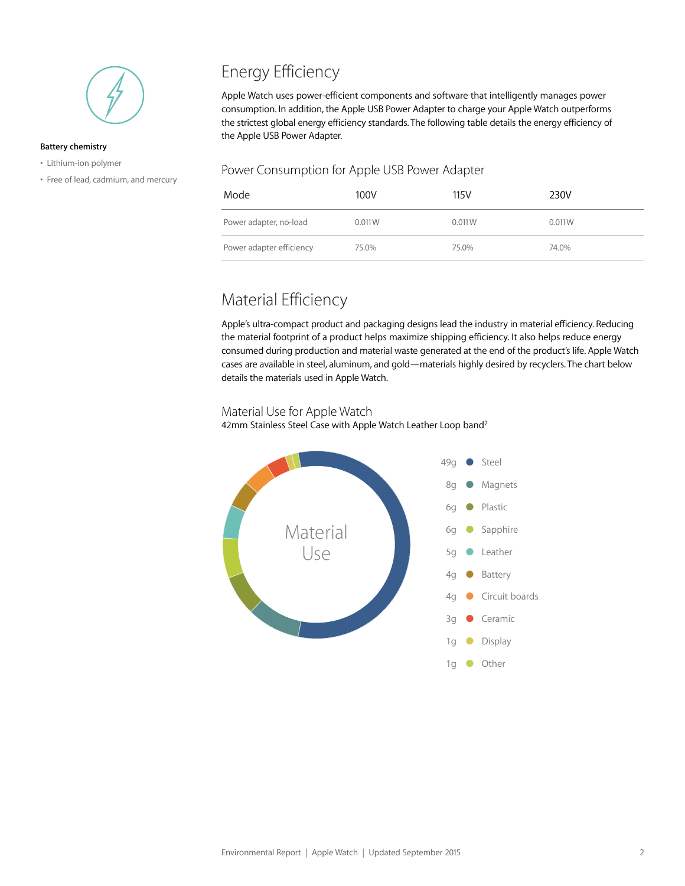

#### **Battery chemistry**

- Lithium-ion polymer
- Free of lead, cadmium, and mercury

## Energy Efficiency

Apple Watch uses power-efficient components and software that intelligently manages power consumption. In addition, the Apple USB Power Adapter to charge your Apple Watch outperforms the strictest global energy efficiency standards. The following table details the energy efficiency of the Apple USB Power Adapter.

#### Power Consumption for Apple USB Power Adapter

| Mode                     | 100V   | 115V   | 230V   |
|--------------------------|--------|--------|--------|
| Power adapter, no-load   | 0.011W | 0.011W | 0.011W |
| Power adapter efficiency | 75.0%  | 75.0%  | 74.0%  |

#### Material Efficiency

Apple's ultra-compact product and packaging designs lead the industry in material efficiency. Reducing the material footprint of a product helps maximize shipping efficiency. It also helps reduce energy consumed during production and material waste generated at the end of the product's life. Apple Watch cases are available in steel, aluminum, and gold—materials highly desired by recyclers. The chart below details the materials used in Apple Watch.

#### Material Use for Apple Watch

42mm Stainless Steel Case with Apple Watch Leather Loop band<sup>2</sup>

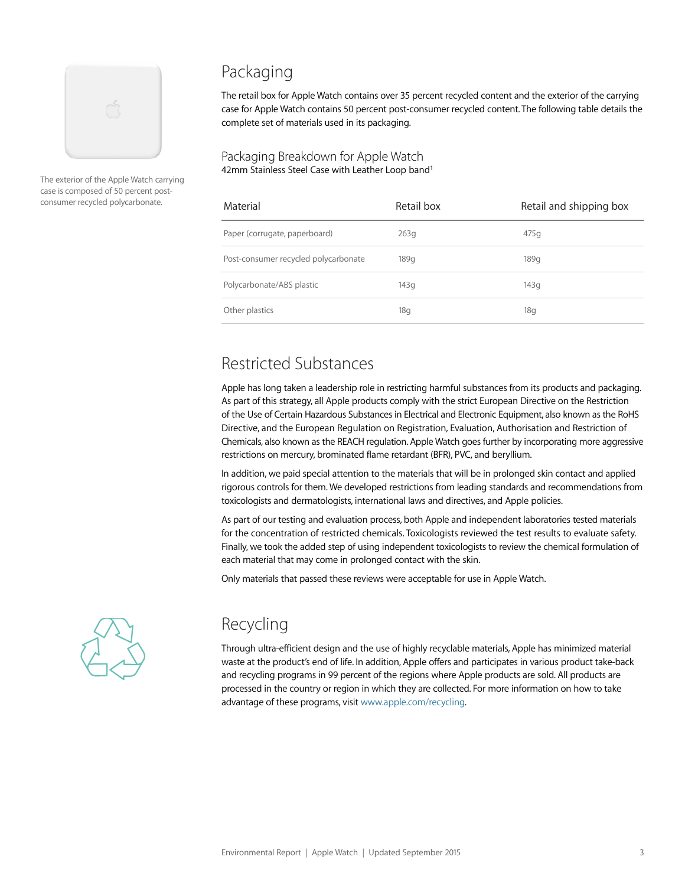

The exterior of the Apple Watch carrying case is composed of 50 percent postconsumer recycled polycarbonate.

### Packaging

The retail box for Apple Watch contains over 35 percent recycled content and the exterior of the carrying case for Apple Watch contains 50 percent post-consumer recycled content. The following table details the complete set of materials used in its packaging.

Packaging Breakdown for Apple Watch 42mm Stainless Steel Case with Leather Loop band<sup>1</sup>

| Material                             | Retail box | Retail and shipping box |
|--------------------------------------|------------|-------------------------|
| Paper (corrugate, paperboard)        | 263g       | 475q                    |
| Post-consumer recycled polycarbonate | 189g       | 189q                    |
| Polycarbonate/ABS plastic            | 143g       | 143g                    |
| Other plastics                       | 18g        | 18q                     |

#### Restricted Substances

Apple has long taken a leadership role in restricting harmful substances from its products and packaging. As part of this strategy, all Apple products comply with the strict European Directive on the Restriction of the Use of Certain Hazardous Substances in Electrical and Electronic Equipment, also known as the RoHS Directive, and the European Regulation on Registration, Evaluation, Authorisation and Restriction of Chemicals, also known as the REACH regulation. Apple Watch goes further by incorporating more aggressive restrictions on mercury, brominated flame retardant (BFR), PVC, and beryllium.

In addition, we paid special attention to the materials that will be in prolonged skin contact and applied rigorous controls for them. We developed restrictions from leading standards and recommendations from toxicologists and dermatologists, international laws and directives, and Apple policies.

As part of our testing and evaluation process, both Apple and independent laboratories tested materials for the concentration of restricted chemicals. Toxicologists reviewed the test results to evaluate safety. Finally, we took the added step of using independent toxicologists to review the chemical formulation of each material that may come in prolonged contact with the skin.

Only materials that passed these reviews were acceptable for use in Apple Watch.



### Recycling

Through ultra-efficient design and the use of highly recyclable materials, Apple has minimized material waste at the product's end of life. In addition, Apple offers and participates in various product take-back and recycling programs in 99 percent of the regions where Apple products are sold. All products are processed in the country or region in which they are collected. For more information on how to take advantage of these programs, visit [www.apple.com/recycling](http://www.apple.com/recycling).